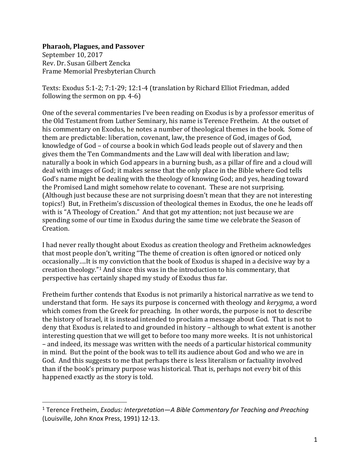## **Pharaoh, Plagues, and Passover**

 $\overline{a}$ 

September 10, 2017 Rev. Dr. Susan Gilbert Zencka Frame Memorial Presbyterian Church

Texts: Exodus 5:1-2; 7:1-29; 12:1-4 (translation by Richard Elliot Friedman, added following the sermon on pp. 4-6)

One of the several commentaries I've been reading on Exodus is by a professor emeritus of the Old Testament from Luther Seminary, his name is Terence Fretheim. At the outset of his commentary on Exodus, he notes a number of theological themes in the book. Some of them are predictable: liberation, covenant, law, the presence of God, images of God, knowledge of God – of course a book in which God leads people out of slavery and then gives them the Ten Commandments and the Law will deal with liberation and law; naturally a book in which God appears in a burning bush, as a pillar of fire and a cloud will deal with images of God; it makes sense that the only place in the Bible where God tells God's name might be dealing with the theology of knowing God; and yes, heading toward the Promised Land might somehow relate to covenant. These are not surprising. (Although just because these are not surprising doesn't mean that they are not interesting topics!) But, in Fretheim's discussion of theological themes in Exodus, the one he leads off with is "A Theology of Creation." And that got my attention; not just because we are spending some of our time in Exodus during the same time we celebrate the Season of Creation.

I had never really thought about Exodus as creation theology and Fretheim acknowledges that most people don't, writing "The theme of creation is often ignored or noticed only occasionally….It is my conviction that the book of Exodus is shaped in a decisive way by a creation theology."<sup>1</sup> And since this was in the introduction to his commentary, that perspective has certainly shaped my study of Exodus thus far.

Fretheim further contends that Exodus is not primarily a historical narrative as we tend to understand that form. He says its purpose is concerned with theology and *kerygma*, a word which comes from the Greek for preaching. In other words, the purpose is not to describe the history of Israel, it is instead intended to proclaim a message about God. That is not to deny that Exodus is related to and grounded in history – although to what extent is another interesting question that we will get to before too many more weeks. It is not unhistorical – and indeed, its message was written with the needs of a particular historical community in mind. But the point of the book was to tell its audience about God and who we are in God. And this suggests to me that perhaps there is less literalism or factuality involved than if the book's primary purpose was historical. That is, perhaps not every bit of this happened exactly as the story is told.

<sup>1</sup> Terence Fretheim, *Exodus: Interpretation—A Bible Commentary for Teaching and Preaching*  (Louisville, John Knox Press, 1991) 12-13.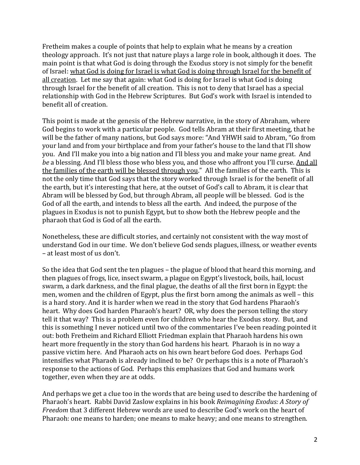Fretheim makes a couple of points that help to explain what he means by a creation theology approach. It's not just that nature plays a large role in book, although it does. The main point is that what God is doing through the Exodus story is not simply for the benefit of Israel: what God is doing for Israel is what God is doing through Israel for the benefit of all creation. Let me say that again: what God is doing for Israel is what God is doing through Israel for the benefit of all creation. This is not to deny that Israel has a special relationship with God in the Hebrew Scriptures. But God's work with Israel is intended to benefit all of creation.

This point is made at the genesis of the Hebrew narrative, in the story of Abraham, where God begins to work with a particular people. God tells Abram at their first meeting, that he will be the father of many nations, but God says more: "And YHWH said to Abram, "Go from your land and from your birthplace and from your father's house to the land that I'll show you. And I'll make you into a big nation and I'll bless you and make your name great. And *be* a blessing. And I'll bless those who bless you, and those who affront you I'll curse. And all the families of the earth will be blessed through you." All the families of the earth. This is not the only time that God says that the story worked through Israel is for the benefit of all the earth, but it's interesting that here, at the outset of God's call to Abram, it is clear that Abram will be blessed by God, but through Abram, all people will be blessed. God is the God of all the earth, and intends to bless all the earth. And indeed, the purpose of the plagues in Exodus is not to punish Egypt, but to show both the Hebrew people and the pharaoh that God is God of all the earth.

Nonetheless, these are difficult stories, and certainly not consistent with the way most of understand God in our time. We don't believe God sends plagues, illness, or weather events – at least most of us don't.

So the idea that God sent the ten plagues – the plague of blood that heard this morning, and then plagues of frogs, lice, insect swarm, a plague on Egypt's livestock, boils, hail, locust swarm, a dark darkness, and the final plague, the deaths of all the first born in Egypt: the men, women and the children of Egypt, plus the first born among the animals as well – this is a hard story. And it is harder when we read in the story that God hardens Pharaoh's heart. Why does God harden Pharaoh's heart? OR, why does the person telling the story tell it that way? This is a problem even for children who hear the Exodus story. But, and this is something I never noticed until two of the commentaries I've been reading pointed it out: both Fretheim and Richard Elliott Friedman explain that Pharaoh hardens his own heart more frequently in the story than God hardens his heart. Pharaoh is in no way a passive victim here. And Pharaoh acts on his own heart before God does. Perhaps God intensifies what Pharaoh is already inclined to be? Or perhaps this is a note of Pharaoh's response to the actions of God. Perhaps this emphasizes that God and humans work together, even when they are at odds.

And perhaps we get a clue too in the words that are being used to describe the hardening of Pharaoh's heart. Rabbi David Zaslow explains in his book *Reimagining Exodus: A Story of Freedom* that 3 different Hebrew words are used to describe God's work on the heart of Pharaoh: one means to harden; one means to make heavy; and one means to strengthen.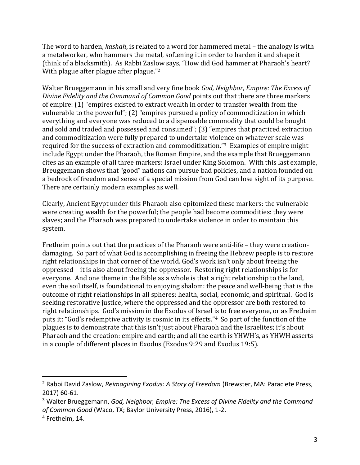The word to harden, *kashah*, is related to a word for hammered metal – the analogy is with a metalworker, who hammers the metal, softening it in order to harden it and shape it (think of a blacksmith). As Rabbi Zaslow says, "How did God hammer at Pharaoh's heart? With plague after plague after plague."<sup>2</sup>

Walter Brueggemann in his small and very fine book *God, Neighbor, Empire: The Excess of Divine Fidelity and the Command of Common Good* points out that there are three markers of empire: (1) "empires existed to extract wealth in order to transfer wealth from the vulnerable to the powerful"; (2) "empires pursued a policy of commoditization in which everything and everyone was reduced to a dispensable commodity that could be bought and sold and traded and possessed and consumed"; (3) "empires that practiced extraction and commoditization were fully prepared to undertake violence on whatever scale was required for the success of extraction and commoditization."3 Examples of empire might include Egypt under the Pharaoh, the Roman Empire, and the example that Brueggemann cites as an example of all three markers: Israel under King Solomon. With this last example, Breuggemann shows that "good" nations can pursue bad policies, and a nation founded on a bedrock of freedom and sense of a special mission from God can lose sight of its purpose. There are certainly modern examples as well.

Clearly, Ancient Egypt under this Pharaoh also epitomized these markers: the vulnerable were creating wealth for the powerful; the people had become commodities: they were slaves; and the Pharaoh was prepared to undertake violence in order to maintain this system.

Fretheim points out that the practices of the Pharaoh were anti-life – they were creationdamaging. So part of what God is accomplishing in freeing the Hebrew people is to restore right relationships in that corner of the world. God's work isn't only about freeing the oppressed – it is also about freeing the oppressor. Restoring right relationships is for everyone. And one theme in the Bible as a whole is that a right relationship to the land, even the soil itself, is foundational to enjoying shalom: the peace and well-being that is the outcome of right relationships in all spheres: health, social, economic, and spiritual. God is seeking restorative justice, where the oppressed and the oppressor are both restored to right relationships. God's mission in the Exodus of Israel is to free everyone, or as Fretheim puts it: "God's redemptive activity is cosmic in its effects."4 So part of the function of the plagues is to demonstrate that this isn't just about Pharaoh and the Israelites; it's about Pharaoh and the creation: empire and earth; and all the earth is YHWH's, as YHWH asserts in a couple of different places in Exodus (Exodus 9:29 and Exodus 19:5).

 $\overline{a}$ 

<sup>2</sup> Rabbi David Zaslow, *Reimagining Exodus: A Story of Freedom* (Brewster, MA: Paraclete Press, 2017) 60-61.

<sup>3</sup> Walter Brueggemann, *God, Neighbor, Empire: The Excess of Divine Fidelity and the Command of Common Good* (Waco, TX; Baylor University Press, 2016), 1-2.

<sup>4</sup> Fretheim, 14.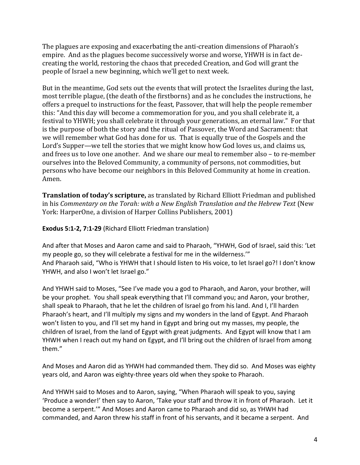The plagues are exposing and exacerbating the anti-creation dimensions of Pharaoh's empire. And as the plagues become successively worse and worse, YHWH is in fact decreating the world, restoring the chaos that preceded Creation, and God will grant the people of Israel a new beginning, which we'll get to next week.

But in the meantime, God sets out the events that will protect the Israelites during the last, most terrible plague, (the death of the firstborns) and as he concludes the instructions, he offers a prequel to instructions for the feast, Passover, that will help the people remember this: "And this day will become a commemoration for you, and you shall celebrate it, a festival to YHWH; you shall celebrate it through your generations, an eternal law." For that is the purpose of both the story and the ritual of Passover, the Word and Sacrament: that we will remember what God has done for us. That is equally true of the Gospels and the Lord's Supper—we tell the stories that we might know how God loves us, and claims us, and frees us to love one another. And we share our meal to remember also – to re-member ourselves into the Beloved Community, a community of persons, not commodities, but persons who have become our neighbors in this Beloved Community at home in creation. Amen.

**Translation of today's scripture,** as translated by Richard Elliott Friedman and published in his *Commentary on the Torah: with a New English Translation and the Hebrew Text* (New York: HarperOne, a division of Harper Collins Publishers, 2001)

**Exodus 5:1-2, 7:1-29** (Richard Elliott Friedman translation)

And after that Moses and Aaron came and said to Pharaoh, "YHWH, God of Israel, said this: 'Let my people go, so they will celebrate a festival for me in the wilderness.'" And Pharaoh said, "Who is YHWH that I should listen to His voice, to let Israel go?! I don't know YHWH, and also I won't let Israel go."

And YHWH said to Moses, "See I've made you a god to Pharaoh, and Aaron, your brother, will be your prophet. You shall speak everything that I'll command you; and Aaron, your brother, shall speak to Pharaoh, that he let the children of Israel go from his land. And I, I'll harden Pharaoh's heart, and I'll multiply my signs and my wonders in the land of Egypt. And Pharaoh won't listen to you, and I'll set my hand in Egypt and bring out my masses, my people, the children of Israel, from the land of Egypt with great judgments. And Egypt will know that I am YHWH when I reach out my hand on Egypt, and I'll bring out the children of Israel from among them."

And Moses and Aaron did as YHWH had commanded them. They did so. And Moses was eighty years old, and Aaron was eighty-three years old when they spoke to Pharaoh.

And YHWH said to Moses and to Aaron, saying, "When Pharaoh will speak to you, saying 'Produce a wonder!' then say to Aaron, 'Take your staff and throw it in front of Pharaoh. Let it become a serpent.'" And Moses and Aaron came to Pharaoh and did so, as YHWH had commanded, and Aaron threw his staff in front of his servants, and it became a serpent. And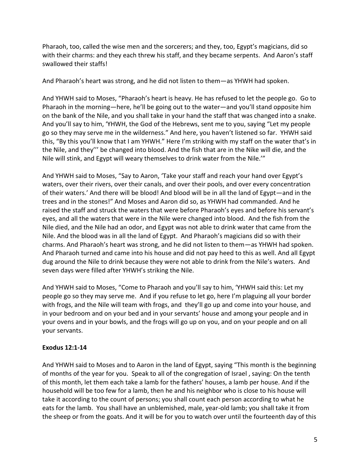Pharaoh, too, called the wise men and the sorcerers; and they, too, Egypt's magicians, did so with their charms: and they each threw his staff, and they became serpents. And Aaron's staff swallowed their staffs!

And Pharaoh's heart was strong, and he did not listen to them—as YHWH had spoken.

And YHWH said to Moses, "Pharaoh's heart is heavy. He has refused to let the people go. Go to Pharaoh in the morning—here, he'll be going out to the water—and you'll stand opposite him on the bank of the Nile, and you shall take in your hand the staff that was changed into a snake. And you'll say to him, 'YHWH, the God of the Hebrews, sent me to you, saying "Let my people go so they may serve me in the wilderness." And here, you haven't listened so far. YHWH said this, "By this you'll know that I am YHWH." Here I'm striking with my staff on the water that's in the Nile, and they''' be changed into blood. And the fish that are in the Nike will die, and the Nile will stink, and Egypt will weary themselves to drink water from the Nile.'"

And YHWH said to Moses, "Say to Aaron, 'Take your staff and reach your hand over Egypt's waters, over their rivers, over their canals, and over their pools, and over every concentration of their waters.' And there will be blood! And blood will be in all the land of Egypt—and in the trees and in the stones!" And Moses and Aaron did so, as YHWH had commanded. And he raised the staff and struck the waters that were before Pharaoh's eyes and before his servant's eyes, and all the waters that were in the Nile were changed into blood. And the fish from the Nile died, and the Nile had an odor, and Egypt was not able to drink water that came from the Nile. And the blood was in all the land of Egypt. And Pharaoh's magicians did so with their charms. And Pharaoh's heart was strong, and he did not listen to them—as YHWH had spoken. And Pharaoh turned and came into his house and did not pay heed to this as well. And all Egypt dug around the Nile to drink because they were not able to drink from the Nile's waters. And seven days were filled after YHWH's striking the Nile.

And YHWH said to Moses, "Come to Pharaoh and you'll say to him, 'YHWH said this: Let my people go so they may serve me. And if you refuse to let go, here I'm plaguing all your border with frogs, and the Nile will team with frogs, and they'll go up and come into your house, and in your bedroom and on your bed and in your servants' house and among your people and in your ovens and in your bowls, and the frogs will go up on you, and on your people and on all your servants.

## **Exodus 12:1-14**

And YHWH said to Moses and to Aaron in the land of Egypt, saying "This month is the beginning of months of the year for you. Speak to all of the congregation of Israel , saying: On the tenth of this month, let them each take a lamb for the fathers' houses, a lamb per house. And if the household will be too few for a lamb, then he and his neighbor who is close to his house will take it according to the count of persons; you shall count each person according to what he eats for the lamb. You shall have an unblemished, male, year-old lamb; you shall take it from the sheep or from the goats. And it will be for you to watch over until the fourteenth day of this